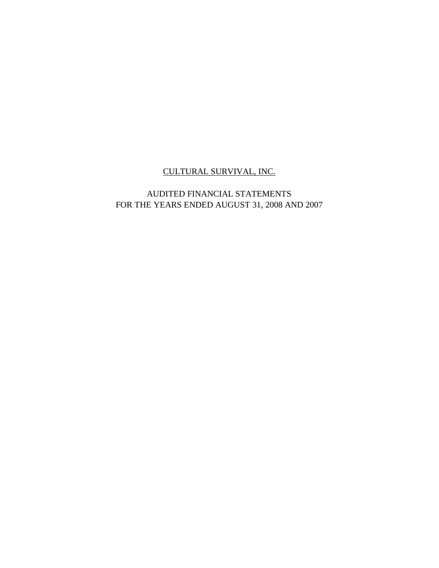# AUDITED FINANCIAL STATEMENTS FOR THE YEARS ENDED AUGUST 31, 2008 AND 2007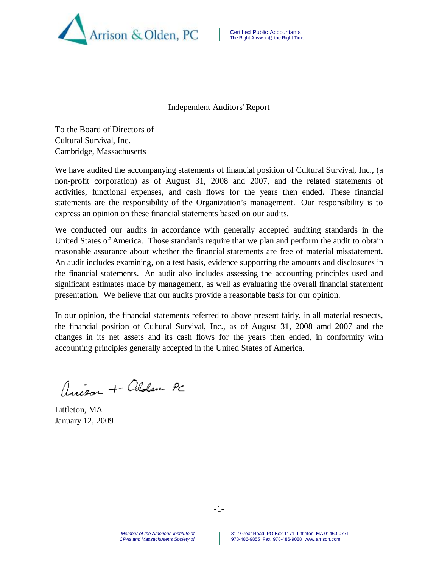

#### Independent Auditors' Report

To the Board of Directors of Cultural Survival, Inc. Cambridge, Massachusetts

We have audited the accompanying statements of financial position of Cultural Survival, Inc., (a non-profit corporation) as of August 31, 2008 and 2007, and the related statements of activities, functional expenses, and cash flows for the years then ended. These financial statements are the responsibility of the Organization's management. Our responsibility is to express an opinion on these financial statements based on our audits.

We conducted our audits in accordance with generally accepted auditing standards in the United States of America. Those standards require that we plan and perform the audit to obtain reasonable assurance about whether the financial statements are free of material misstatement. An audit includes examining, on a test basis, evidence supporting the amounts and disclosures in the financial statements. An audit also includes assessing the accounting principles used and significant estimates made by management, as well as evaluating the overall financial statement presentation. We believe that our audits provide a reasonable basis for our opinion.

In our opinion, the financial statements referred to above present fairly, in all material respects, the financial position of Cultural Survival, Inc., as of August 31, 2008 amd 2007 and the changes in its net assets and its cash flows for the years then ended, in conformity with accounting principles generally accepted in the United States of America.

Anison + alden PC

Littleton, MA January 12, 2009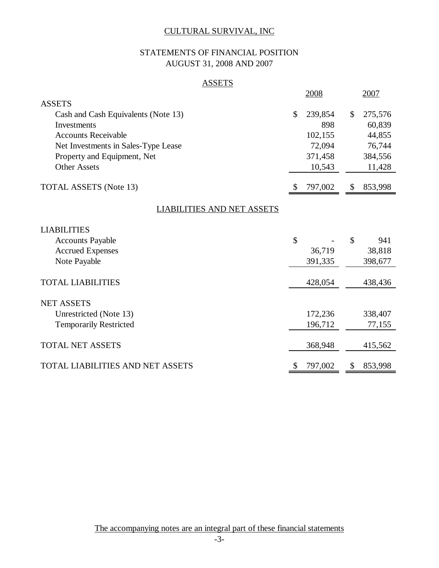# STATEMENTS OF FINANCIAL POSITION AUGUST 31, 2008 AND 2007

### **ASSETS**

|                                     |    | 2008    |              | 2007    |
|-------------------------------------|----|---------|--------------|---------|
| <b>ASSETS</b>                       |    |         |              |         |
| Cash and Cash Equivalents (Note 13) | \$ | 239,854 | $\mathbb{S}$ | 275,576 |
| Investments                         |    | 898     |              | 60,839  |
| <b>Accounts Receivable</b>          |    | 102,155 |              | 44,855  |
| Net Investments in Sales-Type Lease |    | 72,094  |              | 76,744  |
| Property and Equipment, Net         |    | 371,458 |              | 384,556 |
| <b>Other Assets</b>                 |    | 10,543  |              | 11,428  |
|                                     |    |         |              |         |
| <b>TOTAL ASSETS</b> (Note 13)       | S  | 797,002 | \$.          | 853,998 |
| <b>LIABILITIES AND NET ASSETS</b>   |    |         |              |         |
| <b>LIABILITIES</b>                  |    |         |              |         |
| <b>Accounts Payable</b>             | \$ |         | \$           | 941     |
| <b>Accrued Expenses</b>             |    | 36,719  |              | 38,818  |
| Note Payable                        |    | 391,335 |              | 398,677 |
|                                     |    |         |              |         |
| <b>TOTAL LIABILITIES</b>            |    | 428,054 |              | 438,436 |
| <b>NET ASSETS</b>                   |    |         |              |         |
| Unrestricted (Note 13)              |    | 172,236 |              | 338,407 |
| <b>Temporarily Restricted</b>       |    | 196,712 |              | 77,155  |
|                                     |    |         |              |         |
| <b>TOTAL NET ASSETS</b>             |    | 368,948 |              | 415,562 |
| TOTAL LIABILITIES AND NET ASSETS    | \$ | 797,002 | \$           | 853,998 |

The accompanying notes are an integral part of these financial statements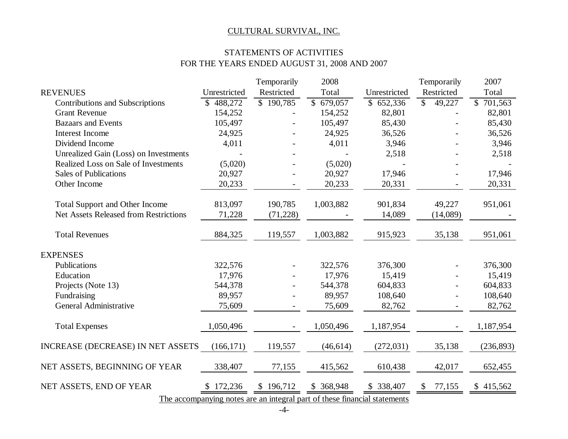# STATEMENTS OF ACTIVITIES FOR THE YEARS ENDED AUGUST 31, 2008 AND 2007

| <b>REVENUES</b><br>Restricted<br>Total<br>Unrestricted<br>Restricted<br>Total<br>Unrestricted<br>\$190,785<br>$\overline{$}$ 679,057<br>488,272<br>\$652,336<br>$\mathbb{S}$<br>49,227<br>$\mathbb{S}$<br>701,563<br>Contributions and Subscriptions<br><b>Grant Revenue</b><br>154,252<br>154,252<br>82,801<br>82,801<br>105,497<br>85,430<br>85,430<br><b>Bazaars and Events</b><br>105,497<br><b>Interest Income</b><br>24,925<br>24,925<br>36,526<br>36,526<br>Dividend Income<br>4,011<br>4,011<br>3,946<br>3,946<br>Unrealized Gain (Loss) on Investments<br>2,518<br>2,518<br>Realized Loss on Sale of Investments<br>(5,020)<br>(5,020)<br><b>Sales of Publications</b><br>20,927<br>20,927<br>17,946<br>17,946<br>Other Income<br>20,233<br>20,233<br>20,331<br>20,331<br>813,097<br>1,003,882<br>901,834<br><b>Total Support and Other Income</b><br>190,785<br>49,227<br>951,061<br><b>Net Assets Released from Restrictions</b><br>71,228<br>(71, 228)<br>14,089<br>(14,089)<br><b>Total Revenues</b><br>884,325<br>119,557<br>1,003,882<br>915,923<br>35,138<br>951,061<br><b>EXPENSES</b><br>Publications<br>322,576<br>322,576<br>376,300<br>376,300<br>Education<br>17,976<br>17,976<br>15,419<br>15,419<br>604,833<br>Projects (Note 13)<br>544,378<br>544,378<br>604,833<br>Fundraising<br>89,957<br>89,957<br>108,640<br>108,640 |
|-----------------------------------------------------------------------------------------------------------------------------------------------------------------------------------------------------------------------------------------------------------------------------------------------------------------------------------------------------------------------------------------------------------------------------------------------------------------------------------------------------------------------------------------------------------------------------------------------------------------------------------------------------------------------------------------------------------------------------------------------------------------------------------------------------------------------------------------------------------------------------------------------------------------------------------------------------------------------------------------------------------------------------------------------------------------------------------------------------------------------------------------------------------------------------------------------------------------------------------------------------------------------------------------------------------------------------------------------------|
|                                                                                                                                                                                                                                                                                                                                                                                                                                                                                                                                                                                                                                                                                                                                                                                                                                                                                                                                                                                                                                                                                                                                                                                                                                                                                                                                                     |
|                                                                                                                                                                                                                                                                                                                                                                                                                                                                                                                                                                                                                                                                                                                                                                                                                                                                                                                                                                                                                                                                                                                                                                                                                                                                                                                                                     |
|                                                                                                                                                                                                                                                                                                                                                                                                                                                                                                                                                                                                                                                                                                                                                                                                                                                                                                                                                                                                                                                                                                                                                                                                                                                                                                                                                     |
|                                                                                                                                                                                                                                                                                                                                                                                                                                                                                                                                                                                                                                                                                                                                                                                                                                                                                                                                                                                                                                                                                                                                                                                                                                                                                                                                                     |
|                                                                                                                                                                                                                                                                                                                                                                                                                                                                                                                                                                                                                                                                                                                                                                                                                                                                                                                                                                                                                                                                                                                                                                                                                                                                                                                                                     |
|                                                                                                                                                                                                                                                                                                                                                                                                                                                                                                                                                                                                                                                                                                                                                                                                                                                                                                                                                                                                                                                                                                                                                                                                                                                                                                                                                     |
|                                                                                                                                                                                                                                                                                                                                                                                                                                                                                                                                                                                                                                                                                                                                                                                                                                                                                                                                                                                                                                                                                                                                                                                                                                                                                                                                                     |
|                                                                                                                                                                                                                                                                                                                                                                                                                                                                                                                                                                                                                                                                                                                                                                                                                                                                                                                                                                                                                                                                                                                                                                                                                                                                                                                                                     |
|                                                                                                                                                                                                                                                                                                                                                                                                                                                                                                                                                                                                                                                                                                                                                                                                                                                                                                                                                                                                                                                                                                                                                                                                                                                                                                                                                     |
|                                                                                                                                                                                                                                                                                                                                                                                                                                                                                                                                                                                                                                                                                                                                                                                                                                                                                                                                                                                                                                                                                                                                                                                                                                                                                                                                                     |
|                                                                                                                                                                                                                                                                                                                                                                                                                                                                                                                                                                                                                                                                                                                                                                                                                                                                                                                                                                                                                                                                                                                                                                                                                                                                                                                                                     |
|                                                                                                                                                                                                                                                                                                                                                                                                                                                                                                                                                                                                                                                                                                                                                                                                                                                                                                                                                                                                                                                                                                                                                                                                                                                                                                                                                     |
|                                                                                                                                                                                                                                                                                                                                                                                                                                                                                                                                                                                                                                                                                                                                                                                                                                                                                                                                                                                                                                                                                                                                                                                                                                                                                                                                                     |
|                                                                                                                                                                                                                                                                                                                                                                                                                                                                                                                                                                                                                                                                                                                                                                                                                                                                                                                                                                                                                                                                                                                                                                                                                                                                                                                                                     |
|                                                                                                                                                                                                                                                                                                                                                                                                                                                                                                                                                                                                                                                                                                                                                                                                                                                                                                                                                                                                                                                                                                                                                                                                                                                                                                                                                     |
|                                                                                                                                                                                                                                                                                                                                                                                                                                                                                                                                                                                                                                                                                                                                                                                                                                                                                                                                                                                                                                                                                                                                                                                                                                                                                                                                                     |
|                                                                                                                                                                                                                                                                                                                                                                                                                                                                                                                                                                                                                                                                                                                                                                                                                                                                                                                                                                                                                                                                                                                                                                                                                                                                                                                                                     |
|                                                                                                                                                                                                                                                                                                                                                                                                                                                                                                                                                                                                                                                                                                                                                                                                                                                                                                                                                                                                                                                                                                                                                                                                                                                                                                                                                     |
|                                                                                                                                                                                                                                                                                                                                                                                                                                                                                                                                                                                                                                                                                                                                                                                                                                                                                                                                                                                                                                                                                                                                                                                                                                                                                                                                                     |
|                                                                                                                                                                                                                                                                                                                                                                                                                                                                                                                                                                                                                                                                                                                                                                                                                                                                                                                                                                                                                                                                                                                                                                                                                                                                                                                                                     |
|                                                                                                                                                                                                                                                                                                                                                                                                                                                                                                                                                                                                                                                                                                                                                                                                                                                                                                                                                                                                                                                                                                                                                                                                                                                                                                                                                     |
| <b>General Administrative</b><br>75,609<br>75,609<br>82,762<br>82,762                                                                                                                                                                                                                                                                                                                                                                                                                                                                                                                                                                                                                                                                                                                                                                                                                                                                                                                                                                                                                                                                                                                                                                                                                                                                               |
|                                                                                                                                                                                                                                                                                                                                                                                                                                                                                                                                                                                                                                                                                                                                                                                                                                                                                                                                                                                                                                                                                                                                                                                                                                                                                                                                                     |
| <b>Total Expenses</b><br>1,050,496<br>1,050,496<br>1,187,954<br>1,187,954<br>$\overline{a}$                                                                                                                                                                                                                                                                                                                                                                                                                                                                                                                                                                                                                                                                                                                                                                                                                                                                                                                                                                                                                                                                                                                                                                                                                                                         |
|                                                                                                                                                                                                                                                                                                                                                                                                                                                                                                                                                                                                                                                                                                                                                                                                                                                                                                                                                                                                                                                                                                                                                                                                                                                                                                                                                     |
| INCREASE (DECREASE) IN NET ASSETS<br>(272, 031)<br>35,138<br>(236, 893)<br>(166, 171)<br>119,557<br>(46, 614)                                                                                                                                                                                                                                                                                                                                                                                                                                                                                                                                                                                                                                                                                                                                                                                                                                                                                                                                                                                                                                                                                                                                                                                                                                       |
|                                                                                                                                                                                                                                                                                                                                                                                                                                                                                                                                                                                                                                                                                                                                                                                                                                                                                                                                                                                                                                                                                                                                                                                                                                                                                                                                                     |
| 77,155<br>NET ASSETS, BEGINNING OF YEAR<br>338,407<br>610,438<br>42,017<br>415,562<br>652,455                                                                                                                                                                                                                                                                                                                                                                                                                                                                                                                                                                                                                                                                                                                                                                                                                                                                                                                                                                                                                                                                                                                                                                                                                                                       |
|                                                                                                                                                                                                                                                                                                                                                                                                                                                                                                                                                                                                                                                                                                                                                                                                                                                                                                                                                                                                                                                                                                                                                                                                                                                                                                                                                     |
| NET ASSETS, END OF YEAR<br>172,236<br>\$368,948<br>338,407<br>\$196,712<br>77,155<br>\$415,562<br>\$<br>\$                                                                                                                                                                                                                                                                                                                                                                                                                                                                                                                                                                                                                                                                                                                                                                                                                                                                                                                                                                                                                                                                                                                                                                                                                                          |

The accompanying notes are an integral part of these financial statements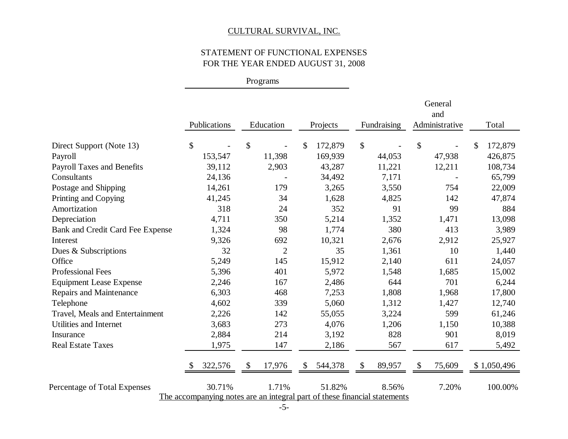# STATEMENT OF FUNCTIONAL EXPENSES FOR THE YEAR ENDED AUGUST 31, 2008

Programs

|                                   |                |                                                                           |               |                    | General<br>and         |               |
|-----------------------------------|----------------|---------------------------------------------------------------------------|---------------|--------------------|------------------------|---------------|
|                                   | Publications   | Education                                                                 | Projects      | Fundraising        | Administrative         | Total         |
| Direct Support (Note 13)          | \$             | \$                                                                        | 172,879<br>\$ | \$                 | \$                     | 172,879<br>\$ |
| Payroll                           | 153,547        | 11,398                                                                    | 169,939       | 44,053             | 47,938                 | 426,875       |
| <b>Payroll Taxes and Benefits</b> | 39,112         | 2,903                                                                     | 43,287        | 11,221             | 12,211                 | 108,734       |
| Consultants                       | 24,136         |                                                                           | 34,492        | 7,171              |                        | 65,799        |
| Postage and Shipping              | 14,261         | 179                                                                       | 3,265         | 3,550              | 754                    | 22,009        |
| Printing and Copying              | 41,245         | 34                                                                        | 1,628         | 4,825              | 142                    | 47,874        |
| Amortization                      | 318            | 24                                                                        | 352           | 91                 | 99                     | 884           |
| Depreciation                      | 4,711          | 350                                                                       | 5,214         | 1,352              | 1,471                  | 13,098        |
| Bank and Credit Card Fee Expense  | 1,324          | 98                                                                        | 1,774         | 380                | 413                    | 3,989         |
| Interest                          | 9,326          | 692                                                                       | 10,321        | 2,676              | 2,912                  | 25,927        |
| Dues & Subscriptions              | 32             | $\overline{2}$                                                            | 35            | 1,361              | 10                     | 1,440         |
| Office                            | 5,249          | 145                                                                       | 15,912        | 2,140              | 611                    | 24,057        |
| <b>Professional Fees</b>          | 5,396          | 401                                                                       | 5,972         | 1,548              | 1,685                  | 15,002        |
| <b>Equipment Lease Expense</b>    | 2,246          | 167                                                                       | 2,486         | 644                | 701                    | 6,244         |
| <b>Repairs and Maintenance</b>    | 6,303          | 468                                                                       | 7,253         | 1,808              | 1,968                  | 17,800        |
| Telephone                         | 4,602          | 339                                                                       | 5,060         | 1,312              | 1,427                  | 12,740        |
| Travel, Meals and Entertainment   | 2,226          | 142                                                                       | 55,055        | 3,224              | 599                    | 61,246        |
| Utilities and Internet            | 3,683          | 273                                                                       | 4,076         | 1,206              | 1,150                  | 10,388        |
| Insurance                         | 2,884          | 214                                                                       | 3,192         | 828                | 901                    | 8,019         |
| <b>Real Estate Taxes</b>          | 1,975          | 147                                                                       | 2,186         | 567                | 617                    | 5,492         |
|                                   | 322,576<br>\$. | 17,976<br>\$                                                              | 544,378<br>\$ | 89,957<br><b>S</b> | 75,609<br><sup>8</sup> | \$1,050,496   |
| Percentage of Total Expenses      | 30.71%         | 1.71%                                                                     | 51.82%        | 8.56%              | 7.20%                  | 100.00%       |
|                                   |                | The accompanying notes are an integral part of these financial statements |               |                    |                        |               |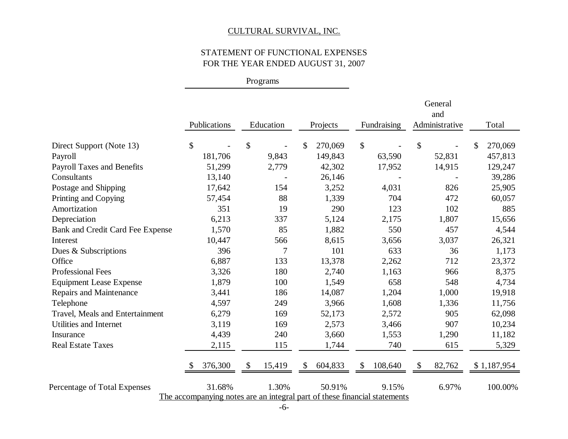# STATEMENT OF FUNCTIONAL EXPENSES FOR THE YEAR ENDED AUGUST 31, 2007

Programs

|                                   |              |              |                                                                           |                     | General<br>and     |               |
|-----------------------------------|--------------|--------------|---------------------------------------------------------------------------|---------------------|--------------------|---------------|
|                                   | Publications | Education    | Projects                                                                  | Fundraising         | Administrative     | Total         |
| Direct Support (Note 13)          | \$           | \$           | 270,069<br>\$                                                             | \$                  | \$                 | 270,069<br>\$ |
| Payroll                           | 181,706      | 9,843        | 149,843                                                                   | 63,590              | 52,831             | 457,813       |
| <b>Payroll Taxes and Benefits</b> | 51,299       | 2,779        | 42,302                                                                    | 17,952              | 14,915             | 129,247       |
| Consultants                       | 13,140       |              | 26,146                                                                    |                     |                    | 39,286        |
| Postage and Shipping              | 17,642       | 154          | 3,252                                                                     | 4,031               | 826                | 25,905        |
| Printing and Copying              | 57,454       | 88           | 1,339                                                                     | 704                 | 472                | 60,057        |
| Amortization                      | 351          | 19           | 290                                                                       | 123                 | 102                | 885           |
| Depreciation                      | 6,213        | 337          | 5,124                                                                     | 2,175               | 1,807              | 15,656        |
| Bank and Credit Card Fee Expense  | 1,570        | 85           | 1,882                                                                     | 550                 | 457                | 4,544         |
| Interest                          | 10,447       | 566          | 8,615                                                                     | 3,656               | 3,037              | 26,321        |
| Dues & Subscriptions              | 396          | $\tau$       | 101                                                                       | 633                 | 36                 | 1,173         |
| Office                            | 6,887        | 133          | 13,378                                                                    | 2,262               | 712                | 23,372        |
| <b>Professional Fees</b>          | 3,326        | 180          | 2,740                                                                     | 1,163               | 966                | 8,375         |
| <b>Equipment Lease Expense</b>    | 1,879        | 100          | 1,549                                                                     | 658                 | 548                | 4,734         |
| <b>Repairs and Maintenance</b>    | 3,441        | 186          | 14,087                                                                    | 1,204               | 1,000              | 19,918        |
| Telephone                         | 4,597        | 249          | 3,966                                                                     | 1,608               | 1,336              | 11,756        |
| Travel, Meals and Entertainment   | 6,279        | 169          | 52,173                                                                    | 2,572               | 905                | 62,098        |
| Utilities and Internet            | 3,119        | 169          | 2,573                                                                     | 3,466               | 907                | 10,234        |
| Insurance                         | 4,439        | 240          | 3,660                                                                     | 1,553               | 1,290              | 11,182        |
| <b>Real Estate Taxes</b>          | 2,115        | 115          | 1,744                                                                     | 740                 | 615                | 5,329         |
|                                   | 376,300<br>S | 15,419<br>\$ | 604,833<br>\$                                                             | 108,640<br><b>S</b> | 82,762<br><b>S</b> | \$1,187,954   |
| Percentage of Total Expenses      | 31.68%       | 1.30%        | 50.91%                                                                    | 9.15%               | 6.97%              | 100.00%       |
|                                   |              |              | The accompanying notes are an integral part of these financial statements |                     |                    |               |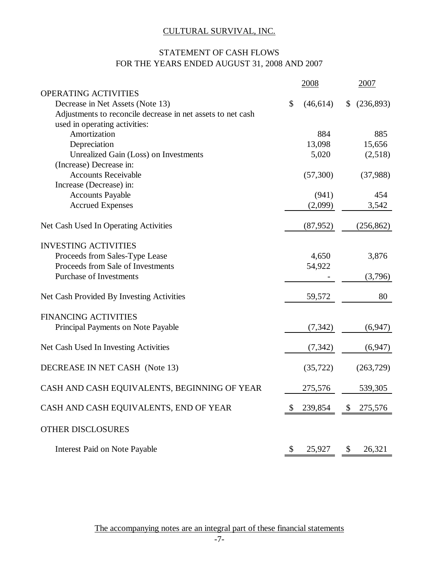# STATEMENT OF CASH FLOWS FOR THE YEARS ENDED AUGUST 31, 2008 AND 2007

|                                                             | 2008            |               | 2007       |
|-------------------------------------------------------------|-----------------|---------------|------------|
| <b>OPERATING ACTIVITIES</b>                                 |                 |               |            |
| Decrease in Net Assets (Note 13)                            | \$<br>(46, 614) | \$            | (236,893)  |
| Adjustments to reconcile decrease in net assets to net cash |                 |               |            |
| used in operating activities:                               |                 |               |            |
| Amortization                                                | 884             |               | 885        |
| Depreciation                                                | 13,098          |               | 15,656     |
| Unrealized Gain (Loss) on Investments                       | 5,020           |               | (2,518)    |
| (Increase) Decrease in:                                     |                 |               |            |
| <b>Accounts Receivable</b>                                  | (57,300)        |               | (37,988)   |
| Increase (Decrease) in:                                     |                 |               |            |
| <b>Accounts Payable</b>                                     | (941)           |               | 454        |
| <b>Accrued Expenses</b>                                     | (2,099)         |               | 3,542      |
| Net Cash Used In Operating Activities                       | (87, 952)       |               | (256, 862) |
| <b>INVESTING ACTIVITIES</b>                                 |                 |               |            |
| Proceeds from Sales-Type Lease                              | 4,650           |               | 3,876      |
| Proceeds from Sale of Investments                           | 54,922          |               |            |
| <b>Purchase of Investments</b>                              |                 |               | (3,796)    |
|                                                             |                 |               |            |
| Net Cash Provided By Investing Activities                   | 59,572          |               | 80         |
| <b>FINANCING ACTIVITIES</b>                                 |                 |               |            |
| Principal Payments on Note Payable                          | (7, 342)        |               | (6,947)    |
| Net Cash Used In Investing Activities                       | (7, 342)        |               | (6,947)    |
| DECREASE IN NET CASH (Note 13)                              |                 |               |            |
|                                                             | (35, 722)       |               | (263, 729) |
| CASH AND CASH EQUIVALENTS, BEGINNING OF YEAR                | 275,576         |               | 539,305    |
| CASH AND CASH EQUIVALENTS, END OF YEAR                      | 239,854         | $\mathcal{S}$ | 275,576    |
| OTHER DISCLOSURES                                           |                 |               |            |
| Interest Paid on Note Payable                               | \$<br>25,927    | $\mathcal{S}$ | 26,321     |

The accompanying notes are an integral part of these financial statements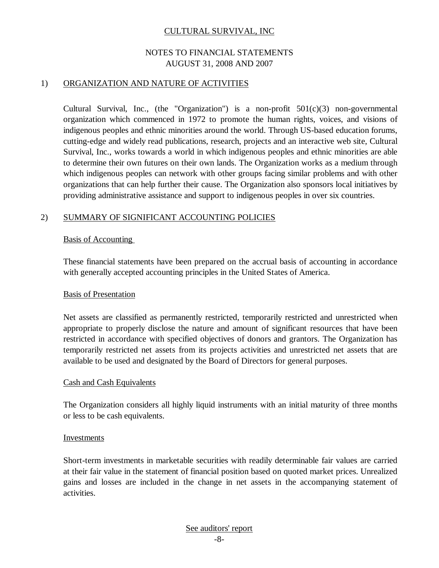## NOTES TO FINANCIAL STATEMENTS AUGUST 31, 2008 AND 2007

#### 1) ORGANIZATION AND NATURE OF ACTIVITIES

Cultural Survival, Inc., (the "Organization") is a non-profit  $501(c)(3)$  non-governmental organization which commenced in 1972 to promote the human rights, voices, and visions of indigenous peoples and ethnic minorities around the world. Through US-based education forums, cutting-edge and widely read publications, research, projects and an interactive web site, Cultural Survival, Inc., works towards a world in which indigenous peoples and ethnic minorities are able to determine their own futures on their own lands. The Organization works as a medium through which indigenous peoples can network with other groups facing similar problems and with other organizations that can help further their cause. The Organization also sponsors local initiatives by providing administrative assistance and support to indigenous peoples in over six countries.

#### 2) SUMMARY OF SIGNIFICANT ACCOUNTING POLICIES

#### Basis of Accounting

These financial statements have been prepared on the accrual basis of accounting in accordance with generally accepted accounting principles in the United States of America.

#### Basis of Presentation

Net assets are classified as permanently restricted, temporarily restricted and unrestricted when appropriate to properly disclose the nature and amount of significant resources that have been restricted in accordance with specified objectives of donors and grantors. The Organization has temporarily restricted net assets from its projects activities and unrestricted net assets that are available to be used and designated by the Board of Directors for general purposes.

#### Cash and Cash Equivalents

The Organization considers all highly liquid instruments with an initial maturity of three months or less to be cash equivalents.

#### Investments

Short-term investments in marketable securities with readily determinable fair values are carried at their fair value in the statement of financial position based on quoted market prices. Unrealized gains and losses are included in the change in net assets in the accompanying statement of activities.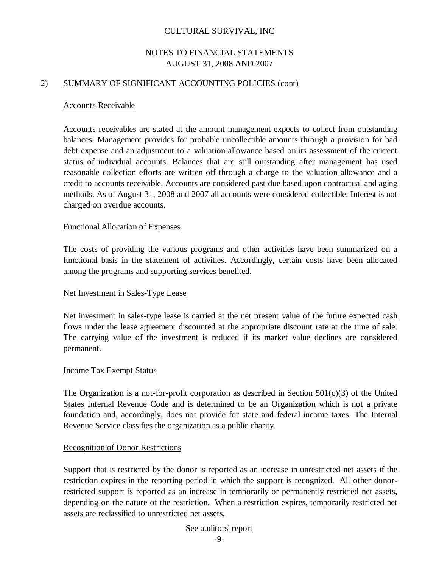## NOTES TO FINANCIAL STATEMENTS AUGUST 31, 2008 AND 2007

#### 2) SUMMARY OF SIGNIFICANT ACCOUNTING POLICIES (cont)

#### Accounts Receivable

Accounts receivables are stated at the amount management expects to collect from outstanding balances. Management provides for probable uncollectible amounts through a provision for bad debt expense and an adjustment to a valuation allowance based on its assessment of the current status of individual accounts. Balances that are still outstanding after management has used reasonable collection efforts are written off through a charge to the valuation allowance and a credit to accounts receivable. Accounts are considered past due based upon contractual and aging methods. As of August 31, 2008 and 2007 all accounts were considered collectible. Interest is not charged on overdue accounts.

#### Functional Allocation of Expenses

The costs of providing the various programs and other activities have been summarized on a functional basis in the statement of activities. Accordingly, certain costs have been allocated among the programs and supporting services benefited.

#### Net Investment in Sales-Type Lease

Net investment in sales-type lease is carried at the net present value of the future expected cash flows under the lease agreement discounted at the appropriate discount rate at the time of sale. The carrying value of the investment is reduced if its market value declines are considered permanent.

### Income Tax Exempt Status

The Organization is a not-for-profit corporation as described in Section  $501(c)(3)$  of the United States Internal Revenue Code and is determined to be an Organization which is not a private foundation and, accordingly, does not provide for state and federal income taxes. The Internal Revenue Service classifies the organization as a public charity.

#### Recognition of Donor Restrictions

Support that is restricted by the donor is reported as an increase in unrestricted net assets if the restriction expires in the reporting period in which the support is recognized. All other donorrestricted support is reported as an increase in temporarily or permanently restricted net assets, depending on the nature of the restriction. When a restriction expires, temporarily restricted net assets are reclassified to unrestricted net assets.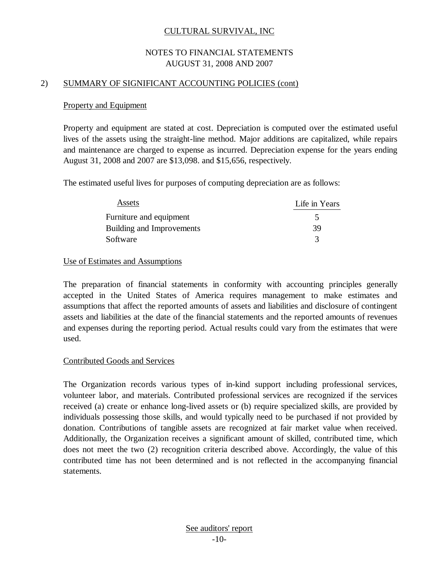## NOTES TO FINANCIAL STATEMENTS AUGUST 31, 2008 AND 2007

#### 2) SUMMARY OF SIGNIFICANT ACCOUNTING POLICIES (cont)

### Property and Equipment

Property and equipment are stated at cost. Depreciation is computed over the estimated useful lives of the assets using the straight-line method. Major additions are capitalized, while repairs and maintenance are charged to expense as incurred. Depreciation expense for the years ending August 31, 2008 and 2007 are \$13,098. and \$15,656, respectively.

The estimated useful lives for purposes of computing depreciation are as follows:

| Assets                    | Life in Years        |
|---------------------------|----------------------|
| Furniture and equipment   | $\ddot{\phantom{1}}$ |
| Building and Improvements | 39                   |
| Software                  | 3                    |

#### Use of Estimates and Assumptions

The preparation of financial statements in conformity with accounting principles generally accepted in the United States of America requires management to make estimates and assumptions that affect the reported amounts of assets and liabilities and disclosure of contingent assets and liabilities at the date of the financial statements and the reported amounts of revenues and expenses during the reporting period. Actual results could vary from the estimates that were used.

## Contributed Goods and Services

The Organization records various types of in-kind support including professional services, volunteer labor, and materials. Contributed professional services are recognized if the services received (a) create or enhance long-lived assets or (b) require specialized skills, are provided by individuals possessing those skills, and would typically need to be purchased if not provided by donation. Contributions of tangible assets are recognized at fair market value when received. Additionally, the Organization receives a significant amount of skilled, contributed time, which does not meet the two (2) recognition criteria described above. Accordingly, the value of this contributed time has not been determined and is not reflected in the accompanying financial statements.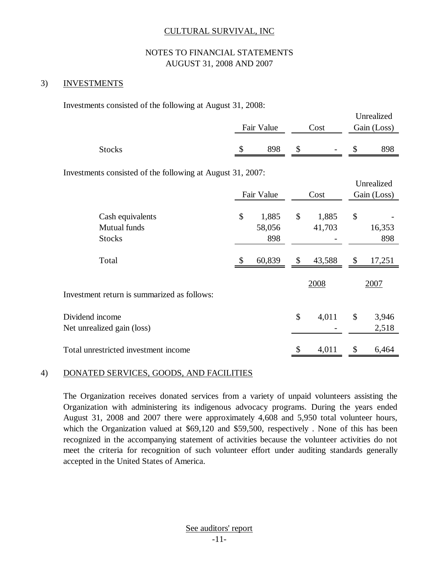## NOTES TO FINANCIAL STATEMENTS AUGUST 31, 2008 AND 2007

#### 3) INVESTMENTS

Investments consisted of the following at August 31, 2008:

|               |            |      |        | Unrealized  |
|---------------|------------|------|--------|-------------|
|               | Fair Value | Cost |        | Gain (Loss) |
|               |            |      |        |             |
| <b>Stocks</b> | 898        |      | $\sim$ | 898         |
|               |            |      |        |             |

Investments consisted of the following at August 31, 2007:

|                                             |              | Fair Value | Cost         |    | Unrealized<br>Gain (Loss) |  |
|---------------------------------------------|--------------|------------|--------------|----|---------------------------|--|
|                                             |              |            |              |    |                           |  |
| Cash equivalents                            | \$           | 1,885      | \$<br>1,885  | \$ |                           |  |
| Mutual funds                                |              | 58,056     | 41,703       |    | 16,353                    |  |
| <b>Stocks</b>                               |              | 898        |              |    | 898                       |  |
| Total                                       | $\mathbb{S}$ | 60,839     | \$<br>43,588 | \$ | 17,251                    |  |
|                                             |              |            | 2008         |    | 2007                      |  |
| Investment return is summarized as follows: |              |            |              |    |                           |  |
| Dividend income                             |              |            | \$<br>4,011  | \$ | 3,946                     |  |
| Net unrealized gain (loss)                  |              |            |              |    | 2,518                     |  |
| Total unrestricted investment income        |              |            | \$<br>4,011  | \$ | 6,464                     |  |

#### 4) DONATED SERVICES, GOODS, AND FACILITIES

The Organization receives donated services from a variety of unpaid volunteers assisting the Organization with administering its indigenous advocacy programs. During the years ended August 31, 2008 and 2007 there were approximately 4,608 and 5,950 total volunteer hours, which the Organization valued at \$69,120 and \$59,500, respectively . None of this has been recognized in the accompanying statement of activities because the volunteer activities do not meet the criteria for recognition of such volunteer effort under auditing standards generally accepted in the United States of America.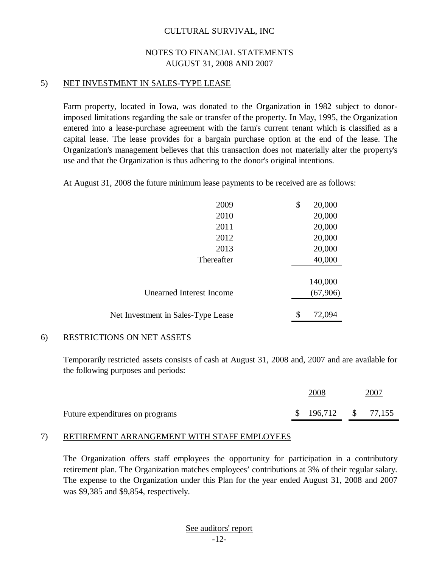## NOTES TO FINANCIAL STATEMENTS AUGUST 31, 2008 AND 2007

#### 5) NET INVESTMENT IN SALES-TYPE LEASE

Farm property, located in Iowa, was donated to the Organization in 1982 subject to donorimposed limitations regarding the sale or transfer of the property. In May, 1995, the Organization entered into a lease-purchase agreement with the farm's current tenant which is classified as a capital lease. The lease provides for a bargain purchase option at the end of the lease. The Organization's management believes that this transaction does not materially alter the property's use and that the Organization is thus adhering to the donor's original intentions.

At August 31, 2008 the future minimum lease payments to be received are as follows:

| 2009                               | \$<br>20,000 |
|------------------------------------|--------------|
| 2010                               | 20,000       |
| 2011                               | 20,000       |
| 2012                               | 20,000       |
| 2013                               | 20,000       |
| Thereafter                         | 40,000       |
|                                    |              |
|                                    | 140,000      |
| Unearned Interest Income           | (67,906)     |
|                                    |              |
| Net Investment in Sales-Type Lease | \$<br>72,094 |

## 6) RESTRICTIONS ON NET ASSETS

Temporarily restricted assets consists of cash at August 31, 2008 and, 2007 and are available for the following purposes and periods:

|                                 | 2008 |                      |  | 2007 |  |  |
|---------------------------------|------|----------------------|--|------|--|--|
| Future expenditures on programs |      | $$196,712$ $$77,155$ |  |      |  |  |

#### 7) RETIREMENT ARRANGEMENT WITH STAFF EMPLOYEES

The Organization offers staff employees the opportunity for participation in a contributory retirement plan. The Organization matches employees' contributions at 3% of their regular salary. The expense to the Organization under this Plan for the year ended August 31, 2008 and 2007 was \$9,385 and \$9,854, respectively.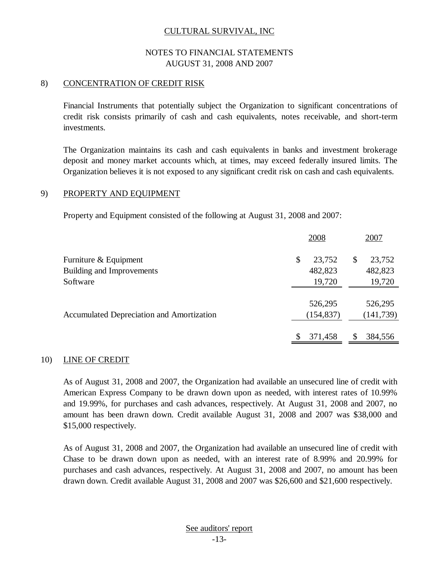## NOTES TO FINANCIAL STATEMENTS AUGUST 31, 2008 AND 2007

### 8) CONCENTRATION OF CREDIT RISK

Financial Instruments that potentially subject the Organization to significant concentrations of credit risk consists primarily of cash and cash equivalents, notes receivable, and short-term investments.

The Organization maintains its cash and cash equivalents in banks and investment brokerage deposit and money market accounts which, at times, may exceed federally insured limits. The Organization believes it is not exposed to any significant credit risk on cash and cash equivalents.

#### 9) PROPERTY AND EQUIPMENT

Property and Equipment consisted of the following at August 31, 2008 and 2007:

|                                           | 2008                  | 2007                  |
|-------------------------------------------|-----------------------|-----------------------|
| Furniture & Equipment                     | \$<br>23,752          | 23,752<br>\$          |
| Building and Improvements                 | 482,823               | 482,823               |
| Software                                  | 19,720                | 19,720                |
| Accumulated Depreciation and Amortization | 526,295<br>(154, 837) | 526,295<br>(141, 739) |
|                                           | S<br>371,458          | \$<br>384,556         |

#### 10) LINE OF CREDIT

As of August 31, 2008 and 2007, the Organization had available an unsecured line of credit with American Express Company to be drawn down upon as needed, with interest rates of 10.99% and 19.99%, for purchases and cash advances, respectively. At August 31, 2008 and 2007, no amount has been drawn down. Credit available August 31, 2008 and 2007 was \$38,000 and \$15,000 respectively.

As of August 31, 2008 and 2007, the Organization had available an unsecured line of credit with Chase to be drawn down upon as needed, with an interest rate of 8.99% and 20.99% for purchases and cash advances, respectively. At August 31, 2008 and 2007, no amount has been drawn down. Credit available August 31, 2008 and 2007 was \$26,600 and \$21,600 respectively.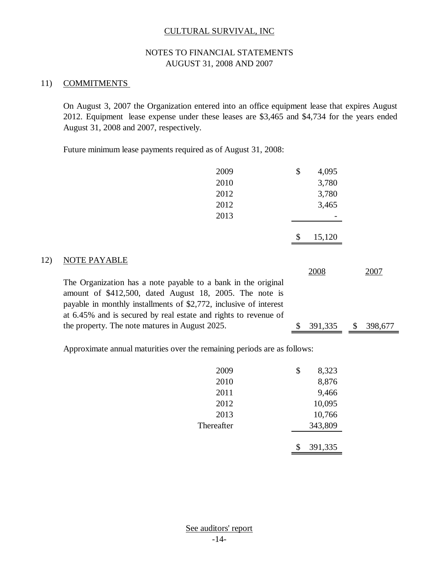## NOTES TO FINANCIAL STATEMENTS AUGUST 31, 2008 AND 2007

### 11) COMMITMENTS

On August 3, 2007 the Organization entered into an office equipment lease that expires August 2012. Equipment lease expense under these leases are \$3,465 and \$4,734 for the years ended August 31, 2008 and 2007, respectively.

Future minimum lease payments required as of August 31, 2008:

|     | 2009                                                                                                                                                                                                                                                             | \$ | 4,095   |               |
|-----|------------------------------------------------------------------------------------------------------------------------------------------------------------------------------------------------------------------------------------------------------------------|----|---------|---------------|
|     | 2010                                                                                                                                                                                                                                                             |    | 3,780   |               |
|     | 2012                                                                                                                                                                                                                                                             |    | 3,780   |               |
|     | 2012                                                                                                                                                                                                                                                             |    | 3,465   |               |
|     | 2013                                                                                                                                                                                                                                                             |    |         |               |
|     |                                                                                                                                                                                                                                                                  |    | 15,120  |               |
| 12) | <b>NOTE PAYABLE</b>                                                                                                                                                                                                                                              |    | 2008    | 2007          |
|     | The Organization has a note payable to a bank in the original<br>amount of \$412,500, dated August 18, 2005. The note is<br>payable in monthly installments of \$2,772, inclusive of interest<br>at 6.45% and is secured by real estate and rights to revenue of |    |         |               |
|     | the property. The note matures in August 2025.                                                                                                                                                                                                                   | S  | 391,335 | \$<br>398,677 |

Approximate annual maturities over the remaining periods are as follows:

| 2009       | \$ | 8,323   |
|------------|----|---------|
| 2010       |    | 8,876   |
| 2011       |    | 9,466   |
| 2012       |    | 10,095  |
| 2013       |    | 10,766  |
| Thereafter |    | 343,809 |
|            |    |         |
|            |    | 391,335 |